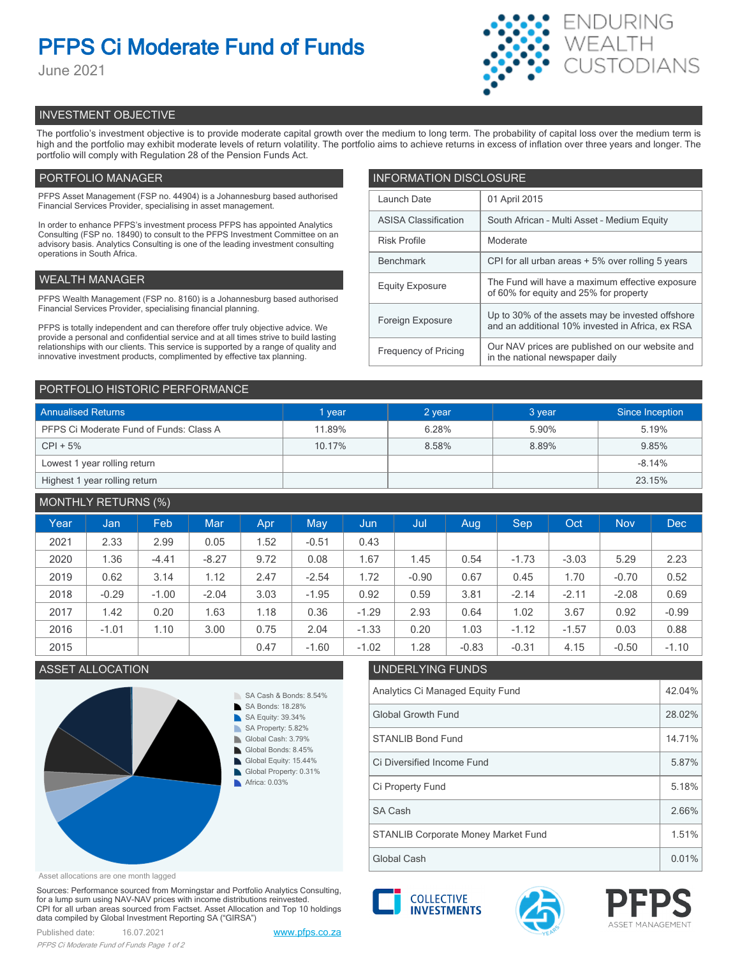# **PFPS Ci Moderate Fund of Funds**

June 2021



# INVESTMENT OBJECTIVE

The portfolio's investment objective is to provide moderate capital growth over the medium to long term. The probability of capital loss over the medium term is high and the portfolio may exhibit moderate levels of return volatility. The portfolio aims to achieve returns in excess of inflation over three years and longer. The portfolio will comply with Regulation 28 of the Pension Funds Act.

# PORTFOLIO MANAGER

PFPS Asset Management (FSP no. 44904) is a Johannesburg based authorised Financial Services Provider, specialising in asset management.

In order to enhance PFPS's investment process PFPS has appointed Analytics Consulting (FSP no. 18490) to consult to the PFPS Investment Committee on an advisory basis. Analytics Consulting is one of the leading investment consulting operations in South Africa.

# WEALTH MANAGER

PFPS Wealth Management (FSP no. 8160) is a Johannesburg based authorised Financial Services Provider, specialising financial planning.

PFPS is totally independent and can therefore offer truly objective advice. We provide a personal and confidential service and at all times strive to build lasting relationships with our clients. This service is supported by a range of quality and innovative investment products, complimented by effective tax planning.

| <b>INFORMATION DISCLOSURE</b> |                                                                                                      |  |  |  |  |
|-------------------------------|------------------------------------------------------------------------------------------------------|--|--|--|--|
| Launch Date                   | 01 April 2015                                                                                        |  |  |  |  |
| <b>ASISA Classification</b>   | South African - Multi Asset - Medium Equity                                                          |  |  |  |  |
| <b>Risk Profile</b>           | Moderate                                                                                             |  |  |  |  |
| <b>Benchmark</b>              | CPI for all urban areas + 5% over rolling 5 years                                                    |  |  |  |  |
| <b>Equity Exposure</b>        | The Fund will have a maximum effective exposure<br>of 60% for equity and 25% for property            |  |  |  |  |
| Foreign Exposure              | Up to 30% of the assets may be invested offshore<br>and an additional 10% invested in Africa, ex RSA |  |  |  |  |
| <b>Frequency of Pricing</b>   | Our NAV prices are published on our website and<br>in the national newspaper daily                   |  |  |  |  |

### PORTFOLIO HISTORIC PERFORMANCE

| <b>Annualised Returns</b>               | 1 year | 2 year | 3 year | Since Inception |  |
|-----------------------------------------|--------|--------|--------|-----------------|--|
| PFPS Ci Moderate Fund of Funds: Class A | 11.89% | 6.28%  | 5.90%  | 5.19%           |  |
| $CPI + 5%$                              | 10.17% | 8.58%  | 8.89%  | 9.85%           |  |
| Lowest 1 year rolling return            |        |        |        | $-8.14%$        |  |
| Highest 1 year rolling return           |        |        |        | 23.15%          |  |

# MONTHLY RETURNS (%)

|      |         | $\sim$ $\sim$ |            |            |         |         |         |         |         |         |            |            |
|------|---------|---------------|------------|------------|---------|---------|---------|---------|---------|---------|------------|------------|
| Year | Jan     | Feb.          | <b>Mar</b> | <b>Apr</b> | May     | Jun     | Jul     | Aug     | Sep     | Oct     | <b>Nov</b> | <b>Dec</b> |
| 2021 | 2.33    | 2.99          | 0.05       | 1.52       | $-0.51$ | 0.43    |         |         |         |         |            |            |
| 2020 | 1.36    | $-4.41$       | $-8.27$    | 9.72       | 0.08    | 1.67    | 1.45    | 0.54    | $-1.73$ | $-3.03$ | 5.29       | 2.23       |
| 2019 | 0.62    | 3.14          | 1.12       | 2.47       | $-2.54$ | 1.72    | $-0.90$ | 0.67    | 0.45    | 1.70    | $-0.70$    | 0.52       |
| 2018 | $-0.29$ | $-1.00$       | $-2.04$    | 3.03       | $-1.95$ | 0.92    | 0.59    | 3.81    | $-2.14$ | $-2.11$ | $-2.08$    | 0.69       |
| 2017 | 1.42    | 0.20          | 1.63       | 1.18       | 0.36    | $-1.29$ | 2.93    | 0.64    | 1.02    | 3.67    | 0.92       | $-0.99$    |
| 2016 | $-1.01$ | 1.10          | 3.00       | 0.75       | 2.04    | $-1.33$ | 0.20    | 1.03    | $-1.12$ | $-1.57$ | 0.03       | 0.88       |
| 2015 |         |               |            | 0.47       | $-1.60$ | $-1.02$ | 1.28    | $-0.83$ | $-0.31$ | 4.15    | $-0.50$    | $-1.10$    |



#### Asset allocations are one month lagged

Sources: Performance sourced from Morningstar and Portfolio Analytics Consulting, for a lump sum using NAV-NAV prices with income distributions reinvested. CPI for all urban areas sourced from Factset. Asset Allocation and Top 10 holdings data compiled by Global Investment Reporting SA ("GIRSA")